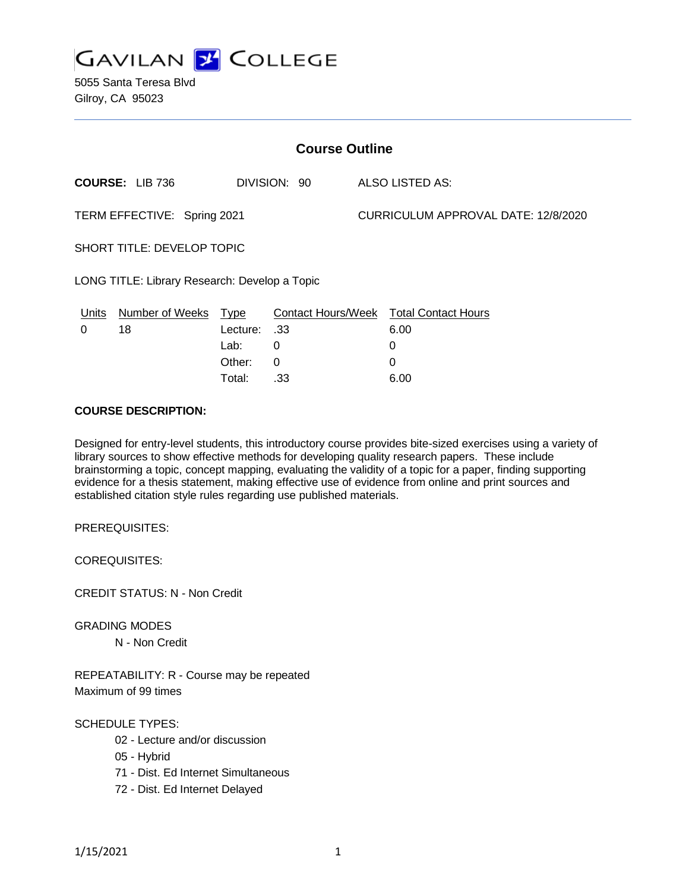

5055 Santa Teresa Blvd Gilroy, CA 95023

| <b>Course Outline</b>                         |                        |                  |              |  |                                        |  |
|-----------------------------------------------|------------------------|------------------|--------------|--|----------------------------------------|--|
|                                               | <b>COURSE: LIB 736</b> |                  | DIVISION: 90 |  | ALSO LISTED AS:                        |  |
| TERM EFFECTIVE: Spring 2021                   |                        |                  |              |  | CURRICULUM APPROVAL DATE: 12/8/2020    |  |
| <b>SHORT TITLE: DEVELOP TOPIC</b>             |                        |                  |              |  |                                        |  |
| LONG TITLE: Library Research: Develop a Topic |                        |                  |              |  |                                        |  |
| Units                                         | Number of Weeks        | <u>Type</u>      |              |  | Contact Hours/Week Total Contact Hours |  |
| 0                                             | 18                     | S3. Lecture: .33 |              |  | 6.00                                   |  |
|                                               |                        | Lab:             | 0            |  | 0                                      |  |
|                                               |                        | Other:           | 0            |  | 0                                      |  |

### **COURSE DESCRIPTION:**

Designed for entry-level students, this introductory course provides bite-sized exercises using a variety of library sources to show effective methods for developing quality research papers. These include brainstorming a topic, concept mapping, evaluating the validity of a topic for a paper, finding supporting evidence for a thesis statement, making effective use of evidence from online and print sources and established citation style rules regarding use published materials.

Total: .33 6.00

PREREQUISITES:

COREQUISITES:

CREDIT STATUS: N - Non Credit

GRADING MODES N - Non Credit

REPEATABILITY: R - Course may be repeated Maximum of 99 times

SCHEDULE TYPES:

- 02 Lecture and/or discussion
- 05 Hybrid
- 71 Dist. Ed Internet Simultaneous
- 72 Dist. Ed Internet Delayed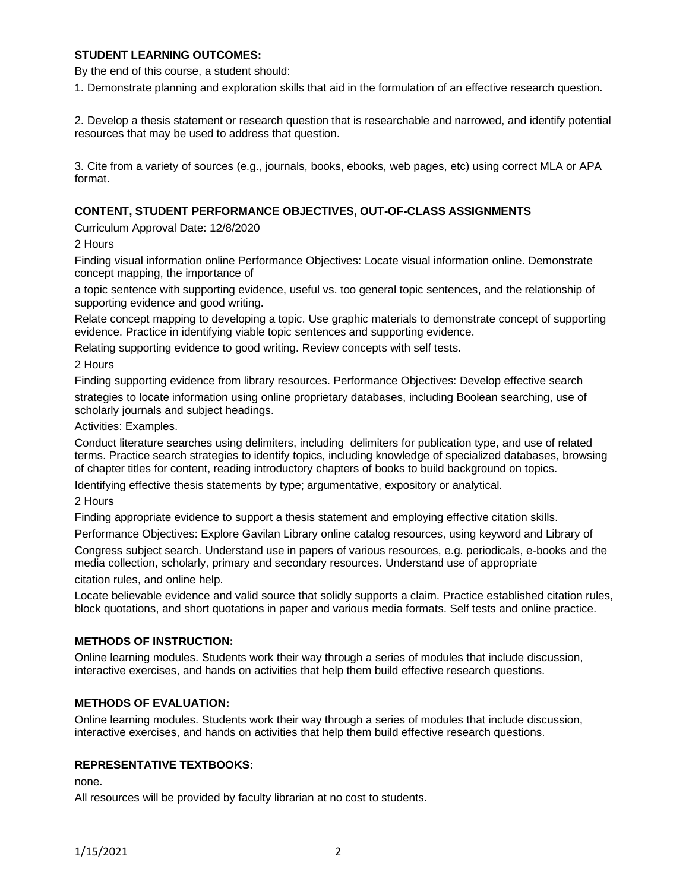## **STUDENT LEARNING OUTCOMES:**

By the end of this course, a student should:

1. Demonstrate planning and exploration skills that aid in the formulation of an effective research question.

2. Develop a thesis statement or research question that is researchable and narrowed, and identify potential resources that may be used to address that question.

3. Cite from a variety of sources (e.g., journals, books, ebooks, web pages, etc) using correct MLA or APA format.

## **CONTENT, STUDENT PERFORMANCE OBJECTIVES, OUT-OF-CLASS ASSIGNMENTS**

Curriculum Approval Date: 12/8/2020

2 Hours

Finding visual information online Performance Objectives: Locate visual information online. Demonstrate concept mapping, the importance of

a topic sentence with supporting evidence, useful vs. too general topic sentences, and the relationship of supporting evidence and good writing.

Relate concept mapping to developing a topic. Use graphic materials to demonstrate concept of supporting evidence. Practice in identifying viable topic sentences and supporting evidence.

Relating supporting evidence to good writing. Review concepts with self tests.

2 Hours

Finding supporting evidence from library resources. Performance Objectives: Develop effective search strategies to locate information using online proprietary databases, including Boolean searching, use of scholarly journals and subject headings.

Activities: Examples.

Conduct literature searches using delimiters, including delimiters for publication type, and use of related terms. Practice search strategies to identify topics, including knowledge of specialized databases, browsing of chapter titles for content, reading introductory chapters of books to build background on topics.

Identifying effective thesis statements by type; argumentative, expository or analytical.

2 Hours

Finding appropriate evidence to support a thesis statement and employing effective citation skills.

Performance Objectives: Explore Gavilan Library online catalog resources, using keyword and Library of

Congress subject search. Understand use in papers of various resources, e.g. periodicals, e-books and the media collection, scholarly, primary and secondary resources. Understand use of appropriate

citation rules, and online help.

Locate believable evidence and valid source that solidly supports a claim. Practice established citation rules, block quotations, and short quotations in paper and various media formats. Self tests and online practice.

#### **METHODS OF INSTRUCTION:**

Online learning modules. Students work their way through a series of modules that include discussion, interactive exercises, and hands on activities that help them build effective research questions.

## **METHODS OF EVALUATION:**

Online learning modules. Students work their way through a series of modules that include discussion, interactive exercises, and hands on activities that help them build effective research questions.

#### **REPRESENTATIVE TEXTBOOKS:**

none.

All resources will be provided by faculty librarian at no cost to students.